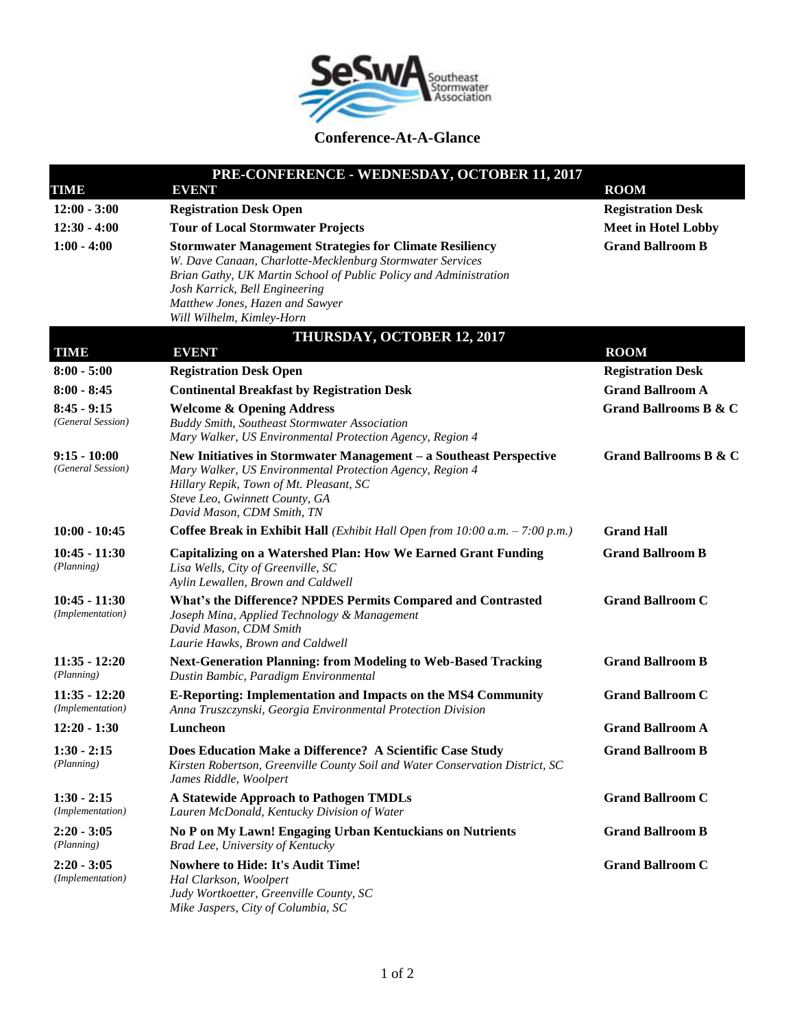

## **Conference-At-A-Glance**

| PRE-CONFERENCE - WEDNESDAY, OCTOBER 11, 2017 |                                                                                                                                                                                                                                                                                                    |                                  |  |
|----------------------------------------------|----------------------------------------------------------------------------------------------------------------------------------------------------------------------------------------------------------------------------------------------------------------------------------------------------|----------------------------------|--|
| TIME                                         | <b>EVENT</b>                                                                                                                                                                                                                                                                                       | <b>ROOM</b>                      |  |
| $12:00 - 3:00$                               | <b>Registration Desk Open</b>                                                                                                                                                                                                                                                                      | <b>Registration Desk</b>         |  |
| $12:30 - 4:00$                               | <b>Tour of Local Stormwater Projects</b>                                                                                                                                                                                                                                                           | <b>Meet in Hotel Lobby</b>       |  |
| $1:00 - 4:00$                                | <b>Stormwater Management Strategies for Climate Resiliency</b><br>W. Dave Canaan, Charlotte-Mecklenburg Stormwater Services<br>Brian Gathy, UK Martin School of Public Policy and Administration<br>Josh Karrick, Bell Engineering<br>Matthew Jones, Hazen and Sawyer<br>Will Wilhelm, Kimley-Horn | <b>Grand Ballroom B</b>          |  |
| <b>TIME</b>                                  | THURSDAY, OCTOBER 12, 2017<br><b>EVENT</b>                                                                                                                                                                                                                                                         | <b>ROOM</b>                      |  |
| $8:00 - 5:00$                                | <b>Registration Desk Open</b>                                                                                                                                                                                                                                                                      | <b>Registration Desk</b>         |  |
| $8:00 - 8:45$                                | <b>Continental Breakfast by Registration Desk</b>                                                                                                                                                                                                                                                  | <b>Grand Ballroom A</b>          |  |
| $8:45 - 9:15$<br>(General Session)           | <b>Welcome &amp; Opening Address</b><br><b>Buddy Smith, Southeast Stormwater Association</b><br>Mary Walker, US Environmental Protection Agency, Region 4                                                                                                                                          | <b>Grand Ballrooms B &amp; C</b> |  |
| $9:15 - 10:00$<br>(General Session)          | New Initiatives in Stormwater Management – a Southeast Perspective<br>Mary Walker, US Environmental Protection Agency, Region 4<br>Hillary Repik, Town of Mt. Pleasant, SC<br>Steve Leo, Gwinnett County, GA<br>David Mason, CDM Smith, TN                                                         | <b>Grand Ballrooms B &amp; C</b> |  |
| $10:00 - 10:45$                              | Coffee Break in Exhibit Hall (Exhibit Hall Open from 10:00 a.m. $- 7:00 p.m.$ )                                                                                                                                                                                                                    | <b>Grand Hall</b>                |  |
| $10:45 - 11:30$<br>(Planning)                | <b>Capitalizing on a Watershed Plan: How We Earned Grant Funding</b><br>Lisa Wells, City of Greenville, SC<br>Aylin Lewallen, Brown and Caldwell                                                                                                                                                   | <b>Grand Ballroom B</b>          |  |
| $10:45 - 11:30$<br>(Implementation)          | What's the Difference? NPDES Permits Compared and Contrasted<br>Joseph Mina, Applied Technology & Management<br>David Mason, CDM Smith<br>Laurie Hawks, Brown and Caldwell                                                                                                                         | <b>Grand Ballroom C</b>          |  |
| $11:35 - 12:20$<br>(Planning)                | <b>Next-Generation Planning: from Modeling to Web-Based Tracking</b><br>Dustin Bambic, Paradigm Environmental                                                                                                                                                                                      | <b>Grand Ballroom B</b>          |  |
| $11:35 - 12:20$<br>(Implementation)          | <b>E-Reporting: Implementation and Impacts on the MS4 Community</b><br>Anna Truszczynski, Georgia Environmental Protection Division                                                                                                                                                                | <b>Grand Ballroom C</b>          |  |
| $12:20 - 1:30$                               | Luncheon                                                                                                                                                                                                                                                                                           | <b>Grand Ballroom A</b>          |  |
| $1:30 - 2:15$<br>(Planning)                  | Does Education Make a Difference? A Scientific Case Study<br>Kirsten Robertson, Greenville County Soil and Water Conservation District, SC<br>James Riddle, Woolpert                                                                                                                               | <b>Grand Ballroom B</b>          |  |
| $1:30 - 2:15$<br>(Implementation)            | A Statewide Approach to Pathogen TMDLs<br>Lauren McDonald, Kentucky Division of Water                                                                                                                                                                                                              | <b>Grand Ballroom C</b>          |  |
| $2:20 - 3:05$<br>(Planning)                  | No P on My Lawn! Engaging Urban Kentuckians on Nutrients<br>Brad Lee, University of Kentucky                                                                                                                                                                                                       | <b>Grand Ballroom B</b>          |  |
| $2:20 - 3:05$<br>(Implementation)            | <b>Nowhere to Hide: It's Audit Time!</b><br>Hal Clarkson, Woolpert<br>Judy Wortkoetter, Greenville County, SC<br>Mike Jaspers, City of Columbia, SC                                                                                                                                                | <b>Grand Ballroom C</b>          |  |